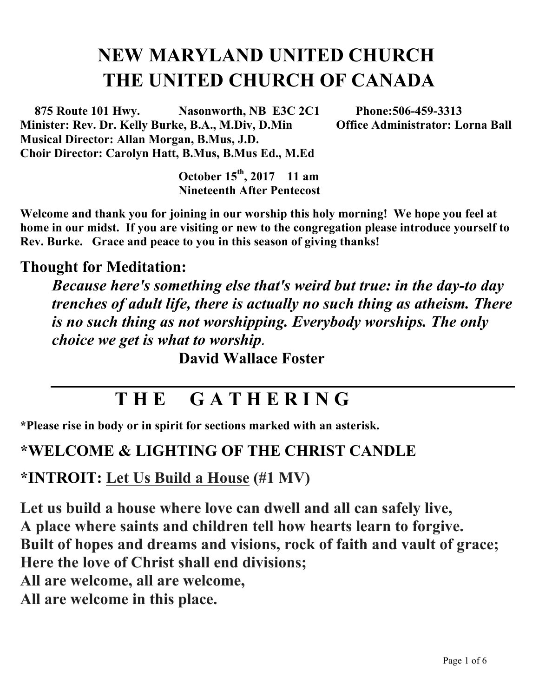# **NEW MARYLAND UNITED CHURCH THE UNITED CHURCH OF CANADA**

 **875 Route 101 Hwy. Nasonworth, NB E3C 2C1 Phone:506-459-3313 Minister: Rev. Dr. Kelly Burke, B.A., M.Div, D.Min Office Administrator: Lorna Ball Musical Director: Allan Morgan, B.Mus, J.D. Choir Director: Carolyn Hatt, B.Mus, B.Mus Ed., M.Ed**

> **October 15th , 2017 11 am Nineteenth After Pentecost**

**Welcome and thank you for joining in our worship this holy morning! We hope you feel at home in our midst. If you are visiting or new to the congregation please introduce yourself to Rev. Burke. Grace and peace to you in this season of giving thanks!**

#### **Thought for Meditation:**

*Because here's something else that's weird but true: in the day-to day trenches of adult life, there is actually no such thing as atheism. There is no such thing as not worshipping. Everybody worships. The only choice we get is what to worship.* 

**David Wallace Foster**

## **T H E G A T H E R I N G**

**\*Please rise in body or in spirit for sections marked with an asterisk.**

#### **\*WELCOME & LIGHTING OF THE CHRIST CANDLE**

**\*INTROIT: Let Us Build a House (#1 MV)**

**Let us build a house where love can dwell and all can safely live, A place where saints and children tell how hearts learn to forgive. Built of hopes and dreams and visions, rock of faith and vault of grace; Here the love of Christ shall end divisions; All are welcome, all are welcome, All are welcome in this place.**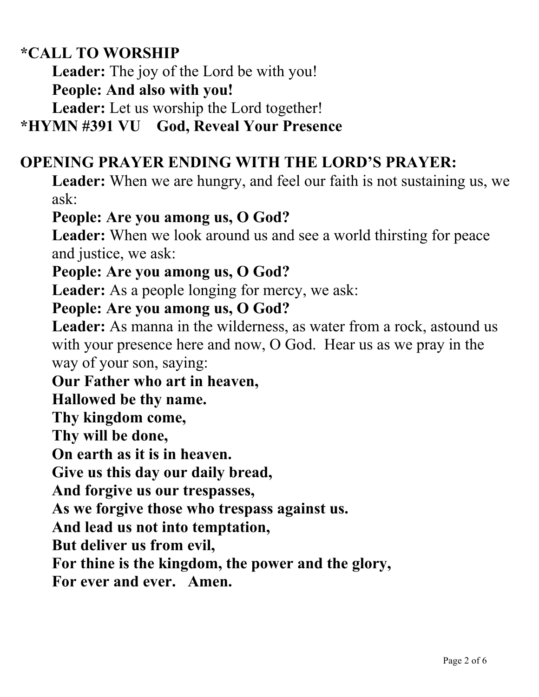#### **\*CALL TO WORSHIP**

**Leader:** The joy of the Lord be with you!

**People: And also with you!**

**Leader:** Let us worship the Lord together!

#### **\*HYMN #391 VU God, Reveal Your Presence**

#### **OPENING PRAYER ENDING WITH THE LORD'S PRAYER:**

**Leader:** When we are hungry, and feel our faith is not sustaining us, we ask:

#### **People: Are you among us, O God?**

**Leader:** When we look around us and see a world thirsting for peace and justice, we ask:

#### **People: Are you among us, O God?**

**Leader:** As a people longing for mercy, we ask:

#### **People: Are you among us, O God?**

**Leader:** As manna in the wilderness, as water from a rock, astound us with your presence here and now, O God. Hear us as we pray in the way of your son, saying:

**Our Father who art in heaven,** 

**Hallowed be thy name.** 

**Thy kingdom come,** 

**Thy will be done,** 

**On earth as it is in heaven.** 

**Give us this day our daily bread,** 

**And forgive us our trespasses,** 

**As we forgive those who trespass against us.** 

**And lead us not into temptation,** 

**But deliver us from evil,** 

**For thine is the kingdom, the power and the glory,** 

**For ever and ever. Amen.**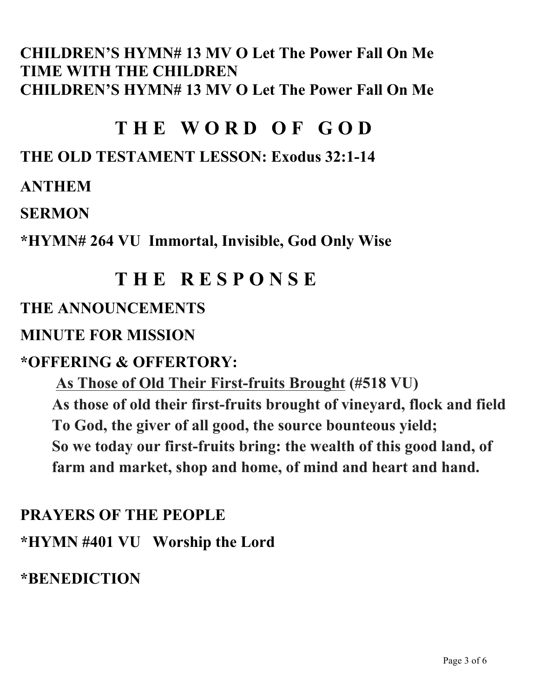#### **CHILDREN'S HYMN# 13 MV O Let The Power Fall On Me TIME WITH THE CHILDREN CHILDREN'S HYMN# 13 MV O Let The Power Fall On Me**

## **T H E W O R D O F G O D**

### **THE OLD TESTAMENT LESSON: Exodus 32:1-14**

#### **ANTHEM**

#### **SERMON**

**\*HYMN# 264 VU Immortal, Invisible, God Only Wise**

## **T H E R E S P O N S E**

#### **THE ANNOUNCEMENTS**

#### **MINUTE FOR MISSION**

#### **\*OFFERING & OFFERTORY:**

**As Those of Old Their First-fruits Brought (#518 VU) As those of old their first-fruits brought of vineyard, flock and field To God, the giver of all good, the source bounteous yield; So we today our first-fruits bring: the wealth of this good land, of farm and market, shop and home, of mind and heart and hand.**

### **PRAYERS OF THE PEOPLE**

**\*HYMN #401 VU Worship the Lord**

#### **\*BENEDICTION**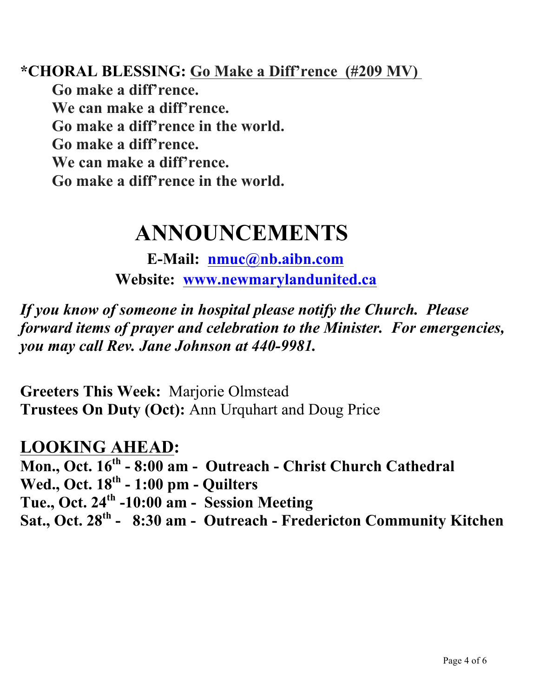**\*CHORAL BLESSING: Go Make a Diff'rence (#209 MV) Go make a diff'rence. We can make a diff'rence. Go make a diff'rence in the world. Go make a diff'rence. We can make a diff'rence. Go make a diff'rence in the world.**

# **ANNOUNCEMENTS**

**E-Mail: nmuc@nb.aibn.com Website: www.newmarylandunited.ca**

*If you know of someone in hospital please notify the Church. Please forward items of prayer and celebration to the Minister. For emergencies, you may call Rev. Jane Johnson at 440-9981.*

**Greeters This Week:** Marjorie Olmstead **Trustees On Duty (Oct):** Ann Urquhart and Doug Price

#### **LOOKING AHEAD:**

**Mon., Oct. 16th - 8:00 am - Outreach - Christ Church Cathedral Wed., Oct. 18th - 1:00 pm - Quilters Tue., Oct. 24th -10:00 am - Session Meeting Sat., Oct. 28th - 8:30 am - Outreach - Fredericton Community Kitchen**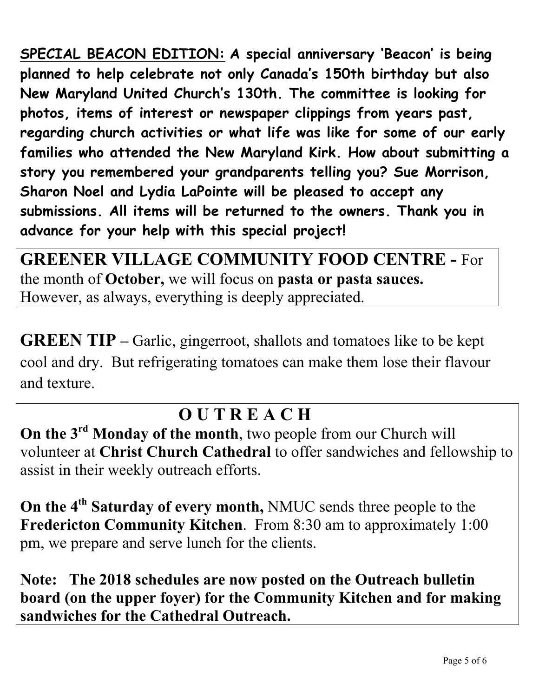**SPECIAL BEACON EDITION: A special anniversary 'Beacon' is being planned to help celebrate not only Canada's 150th birthday but also New Maryland United Church's 130th. The committee is looking for photos, items of interest or newspaper clippings from years past, regarding church activities or what life was like for some of our early families who attended the New Maryland Kirk. How about submitting a story you remembered your grandparents telling you? Sue Morrison, Sharon Noel and Lydia LaPointe will be pleased to accept any submissions. All items will be returned to the owners. Thank you in advance for your help with this special project!**

**GREENER VILLAGE COMMUNITY FOOD CENTRE -** For the month of **October,** we will focus on **pasta or pasta sauces.**  However, as always, everything is deeply appreciated.

**GREEN TIP** – Garlic, gingerroot, shallots and tomatoes like to be kept cool and dry. But refrigerating tomatoes can make them lose their flavour and texture.

## **O U T R E A C H**

**On the 3rd Monday of the month**, two people from our Church will volunteer at **Christ Church Cathedral** to offer sandwiches and fellowship to assist in their weekly outreach efforts.

**On the 4th Saturday of every month,** NMUC sends three people to the **Fredericton Community Kitchen**. From 8:30 am to approximately 1:00 pm, we prepare and serve lunch for the clients.

**Note: The 2018 schedules are now posted on the Outreach bulletin board (on the upper foyer) for the Community Kitchen and for making sandwiches for the Cathedral Outreach.**